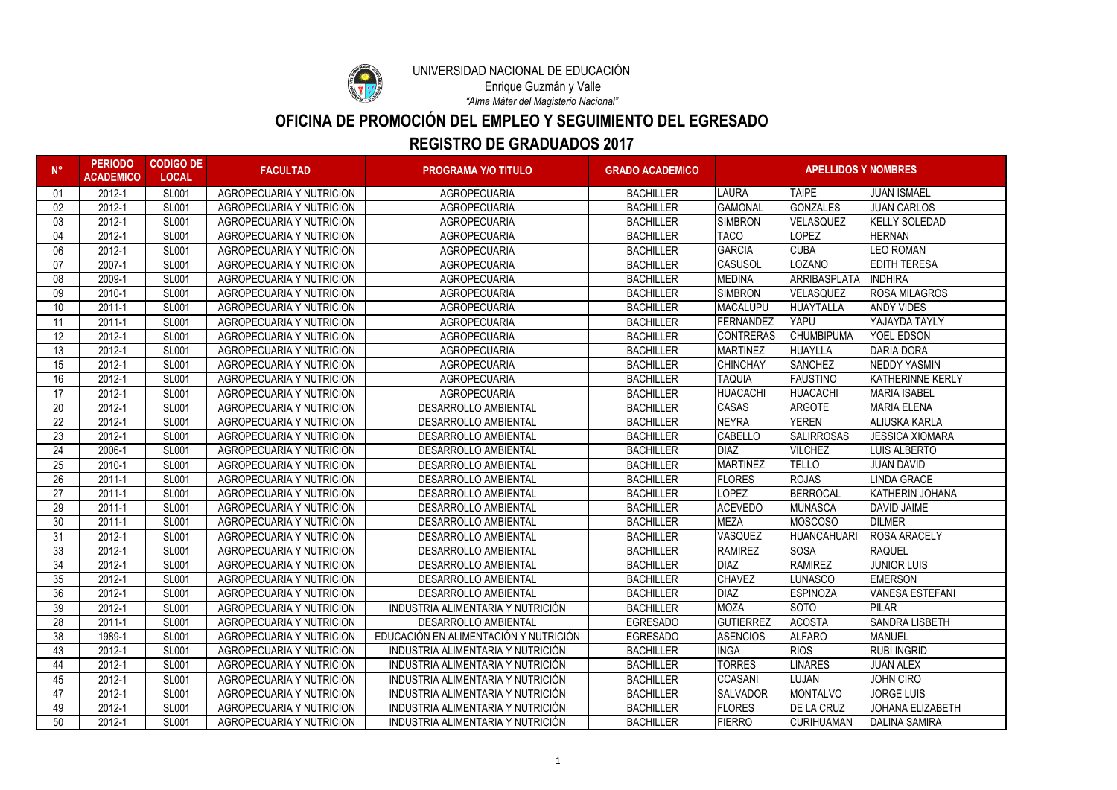| $N^{\circ}$ | <b>PERIODO</b><br><b>ACADEMICO</b> | <b>CODIGO DE</b><br><b>LOCAL</b> | <b>FACULTAD</b>                 | <b>PROGRAMA Y/O TITULO</b>            | <b>GRADO ACADEMICO</b> | <b>APELLIDOS Y NOMBRES</b> |                    |                         |
|-------------|------------------------------------|----------------------------------|---------------------------------|---------------------------------------|------------------------|----------------------------|--------------------|-------------------------|
| 01          | 2012-1                             | <b>SL001</b>                     | <b>AGROPECUARIA Y NUTRICION</b> | <b>AGROPECUARIA</b>                   | <b>BACHILLER</b>       | <b>LAURA</b>               | <b>TAIPE</b>       | <b>JUAN ISMAEL</b>      |
| 02          | 2012-1                             | <b>SL001</b>                     | AGROPECUARIA Y NUTRICION        | <b>AGROPECUARIA</b>                   | <b>BACHILLER</b>       | <b>GAMONAL</b>             | <b>GONZALES</b>    | <b>JUAN CARLOS</b>      |
| 03          | 2012-1                             | <b>SL001</b>                     | AGROPECUARIA Y NUTRICION        | <b>AGROPECUARIA</b>                   | <b>BACHILLER</b>       | <b>SIMBRON</b>             | <b>VELASQUEZ</b>   | <b>KELLY SOLEDAD</b>    |
| 04          | 2012-1                             | <b>SL001</b>                     | AGROPECUARIA Y NUTRICION        | <b>AGROPECUARIA</b>                   | <b>BACHILLER</b>       | <b>TACO</b>                | <b>LOPEZ</b>       | <b>HERNAN</b>           |
| 06          | 2012-1                             | <b>SL001</b>                     | <b>AGROPECUARIA Y NUTRICION</b> | <b>AGROPECUARIA</b>                   | <b>BACHILLER</b>       | <b>GARCIA</b>              | <b>CUBA</b>        | <b>LEO ROMAN</b>        |
| 07          | 2007-1                             | <b>SL001</b>                     | <b>AGROPECUARIA Y NUTRICION</b> | <b>AGROPECUARIA</b>                   | <b>BACHILLER</b>       | <b>CASUSOL</b>             | <b>LOZANO</b>      | <b>EDITH TERESA</b>     |
| 08          | $2009 -$                           | <b>SL001</b>                     | <b>AGROPECUARIA Y NUTRICION</b> | <b>AGROPECUARIA</b>                   | <b>BACHILLER</b>       | <b>MEDINA</b>              | ARRIBASPLATA       | <b>INDHIRA</b>          |
| 09          | 2010-1                             | <b>SL001</b>                     | <b>AGROPECUARIA Y NUTRICION</b> | <b>AGROPECUARIA</b>                   | <b>BACHILLER</b>       | SIMBRON                    | VELASQUEZ          | <b>ROSA MILAGROS</b>    |
| 10          | 2011-1                             | <b>SL001</b>                     | <b>AGROPECUARIA Y NUTRICION</b> | <b>AGROPECUARIA</b>                   | <b>BACHILLER</b>       | MACALUPU                   | <b>HUAYTALLA</b>   | <b>ANDY VIDES</b>       |
|             | 2011-1                             | <b>SL001</b>                     | <b>AGROPECUARIA Y NUTRICION</b> | <b>AGROPECUARIA</b>                   | <b>BACHILLER</b>       | <b>FERNANDEZ</b>           | <b>YAPU</b>        | YAJAYDA TAYLY           |
| 12          | 2012-1                             | <b>SL001</b>                     | <b>AGROPECUARIA Y NUTRICION</b> | <b>AGROPECUARIA</b>                   | <b>BACHILLER</b>       | <b>CONTRERAS</b>           | <b>CHUMBIPUMA</b>  | YOEL EDSON              |
| 13          | 2012-1                             | <b>SL001</b>                     | <b>AGROPECUARIA Y NUTRICION</b> | <b>AGROPECUARIA</b>                   | <b>BACHILLER</b>       | <b>MARTINEZ</b>            | <b>HUAYLLA</b>     | <b>DARIA DORA</b>       |
| 15          | 2012-1                             | <b>SL001</b>                     | AGROPECUARIA Y NUTRICION        | <b>AGROPECUARIA</b>                   | <b>BACHILLER</b>       | <b>CHINCHAY</b>            | <b>SANCHEZ</b>     | <b>NEDDY YASMIN</b>     |
| 16          | 2012-1                             | <b>SL001</b>                     | <b>AGROPECUARIA Y NUTRICION</b> | <b>AGROPECUARIA</b>                   | <b>BACHILLER</b>       | <b>TAQUIA</b>              | <b>FAUSTINO</b>    | <b>KATHERINNE KERLY</b> |
| 17          | 2012-1                             | <b>SL001</b>                     | <b>AGROPECUARIA Y NUTRICION</b> | <b>AGROPECUARIA</b>                   | <b>BACHILLER</b>       | HUACACHI                   | <b>HUACACHI</b>    | <b>MARIA ISABEL</b>     |
| 20          | 2012-1                             | <b>SL001</b>                     | <b>AGROPECUARIA Y NUTRICION</b> | <b>DESARROLLO AMBIENTAL</b>           | <b>BACHILLER</b>       | <b>CASAS</b>               | <b>ARGOTE</b>      | <b>MARIA ELENA</b>      |
| 22          | 2012-1                             | <b>SL001</b>                     | <b>AGROPECUARIA Y NUTRICION</b> | <b>DESARROLLO AMBIENTAL</b>           | <b>BACHILLER</b>       | <b>NEYRA</b>               | <b>YEREN</b>       | <b>ALIUSKA KARLA</b>    |
| 23          | 2012-1                             | <b>SL001</b>                     | <b>AGROPECUARIA Y NUTRICION</b> | <b>DESARROLLO AMBIENTAL</b>           | <b>BACHILLER</b>       | <b>CABELLO</b>             | <b>SALIRROSAS</b>  | <b>JESSICA XIOMARA</b>  |
| 24          | $2006 -$                           | <b>SL001</b>                     | <b>AGROPECUARIA Y NUTRICION</b> | <b>DESARROLLO AMBIENTAL</b>           | <b>BACHILLER</b>       | DIAZ                       | <b>VILCHEZ</b>     | <b>LUIS ALBERTO</b>     |
| 25          | 2010-1                             | <b>SL001</b>                     | <b>AGROPECUARIA Y NUTRICION</b> | <b>DESARROLLO AMBIENTAL</b>           | <b>BACHILLER</b>       | <b>MARTINEZ</b>            | <b>TELLO</b>       | <b>JUAN DAVID</b>       |
| 26          | 2011-1                             | <b>SL001</b>                     | <b>AGROPECUARIA Y NUTRICION</b> | <b>DESARROLLO AMBIENTAL</b>           | <b>BACHILLER</b>       | <b>FLORES</b>              | <b>ROJAS</b>       | <b>LINDA GRACE</b>      |
| 27          | 2011-1                             | <b>SL001</b>                     | <b>AGROPECUARIA Y NUTRICION</b> | <b>DESARROLLO AMBIENTAL</b>           | <b>BACHILLER</b>       | <b>LOPEZ</b>               | <b>BERROCAL</b>    | <b>KATHERIN JOHANA</b>  |
| 29          | 2011-1                             | <b>SL001</b>                     | <b>AGROPECUARIA Y NUTRICION</b> | <b>DESARROLLO AMBIENTAL</b>           | <b>BACHILLER</b>       | <b>ACEVEDO</b>             | <b>MUNASCA</b>     | <b>DAVID JAIME</b>      |
| 30          | 2011-1                             | <b>SL001</b>                     | <b>AGROPECUARIA Y NUTRICION</b> | <b>DESARROLLO AMBIENTAL</b>           | <b>BACHILLER</b>       | <b>MEZA</b>                | <b>MOSCOSO</b>     | <b>DILMER</b>           |
| 31          | 2012-1                             | <b>SL001</b>                     | <b>AGROPECUARIA Y NUTRICION</b> | <b>DESARROLLO AMBIENTAL</b>           | <b>BACHILLER</b>       | <b>VASQUEZ</b>             | <b>HUANCAHUARI</b> | <b>ROSA ARACELY</b>     |
| 33          | 2012-1                             | <b>SL001</b>                     | <b>AGROPECUARIA Y NUTRICION</b> | <b>DESARROLLO AMBIENTAL</b>           | <b>BACHILLER</b>       | <b>RAMIREZ</b>             | <b>SOSA</b>        | <b>RAQUEL</b>           |
| 34          | 2012-1                             | <b>SL001</b>                     | <b>AGROPECUARIA Y NUTRICION</b> | <b>DESARROLLO AMBIENTAL</b>           | <b>BACHILLER</b>       | DIAZ                       | <b>RAMIREZ</b>     | <b>JUNIOR LUIS</b>      |
| 35          | 2012-1                             | <b>SL001</b>                     | AGROPECUARIA Y NUTRICION        | DESARROLLO AMBIENTAL                  | <b>BACHILLER</b>       | <b>CHAVEZ</b>              | LUNASCO            | <b>EMERSON</b>          |
| 36          | 2012-1                             | <b>SL001</b>                     | AGROPECUARIA Y NUTRICION        | <b>DESARROLLO AMBIENTAL</b>           | <b>BACHILLER</b>       | <b>DIAZ</b>                | <b>ESPINOZA</b>    | <b>VANESA ESTEFANI</b>  |
| 39          | 2012-1                             | <b>SL001</b>                     | AGROPECUARIA Y NUTRICION        | INDUSTRIA ALIMENTARIA Y NUTRICIÓN     | <b>BACHILLER</b>       | <b>MOZA</b>                | <b>SOTO</b>        | <b>PILAR</b>            |
| 28          | 2011-1                             | <b>SL001</b>                     | <b>AGROPECUARIA Y NUTRICION</b> | DESARROLLO AMBIENTAL                  | <b>EGRESADO</b>        | <b>GUTIERREZ</b>           | <b>ACOSTA</b>      | <b>SANDRA LISBETH</b>   |
| 38          | 1989-1                             | <b>SL001</b>                     | <b>AGROPECUARIA Y NUTRICION</b> | EDUCACIÓN EN ALIMENTACIÓN Y NUTRICIÓN | <b>EGRESADO</b>        | <b>ASENCIOS</b>            | <b>ALFARO</b>      | <b>MANUEL</b>           |
| 43          | 2012-1                             | <b>SL001</b>                     | <b>AGROPECUARIA Y NUTRICION</b> | INDUSTRIA ALIMENTARIA Y NUTRICIÓN     | <b>BACHILLER</b>       | <b>INGA</b>                | <b>RIOS</b>        | <b>RUBI INGRID</b>      |
| 44          | 2012-1                             | <b>SL001</b>                     | AGROPECUARIA Y NUTRICION        | INDUSTRIA ALIMENTARIA Y NUTRICIÓN     | <b>BACHILLER</b>       | <b>TORRES</b>              | <b>LINARES</b>     | <b>JUAN ALEX</b>        |
| 45          | 2012-1                             | <b>SL001</b>                     | AGROPECUARIA Y NUTRICION        | INDUSTRIA ALIMENTARIA Y NUTRICIÓN     | <b>BACHILLER</b>       | <b>CCASANI</b>             | LUJAN              | <b>JOHN CIRO</b>        |
| 47          | 2012-1                             | <b>SL001</b>                     | AGROPECUARIA Y NUTRICION        | INDUSTRIA ALIMENTARIA Y NUTRICIÓN     | <b>BACHILLER</b>       | <b>SALVADOR</b>            | <b>MONTALVO</b>    | <b>JORGE LUIS</b>       |
| 49          | 2012-1                             | <b>SL001</b>                     | AGROPECUARIA Y NUTRICION        | INDUSTRIA ALIMENTARIA Y NUTRICIÓN     | <b>BACHILLER</b>       | <b>FLORES</b>              | DE LA CRUZ         | JOHANA ELIZABETH        |
| 50          | 2012-1                             | <b>SL001</b>                     | AGROPECUARIA Y NUTRICION        | INDUSTRIA ALIMENTARIA Y NUTRICIÓN     | <b>BACHILLER</b>       | <b>FIERRO</b>              | <b>CURIHUAMAN</b>  | <b>DALINA SAMIRA</b>    |



UNIVERSIDAD NACIONAL DE EDUCACIÓN

### **REGISTRO DE GRADUADOS 2017**

## **OFICINA DE PROMOCIÓN DEL EMPLEO Y SEGUIMIENTO DEL EGRESADO**

*"Alma Máter del Magisterio Nacional"* Enrique Guzmán y Valle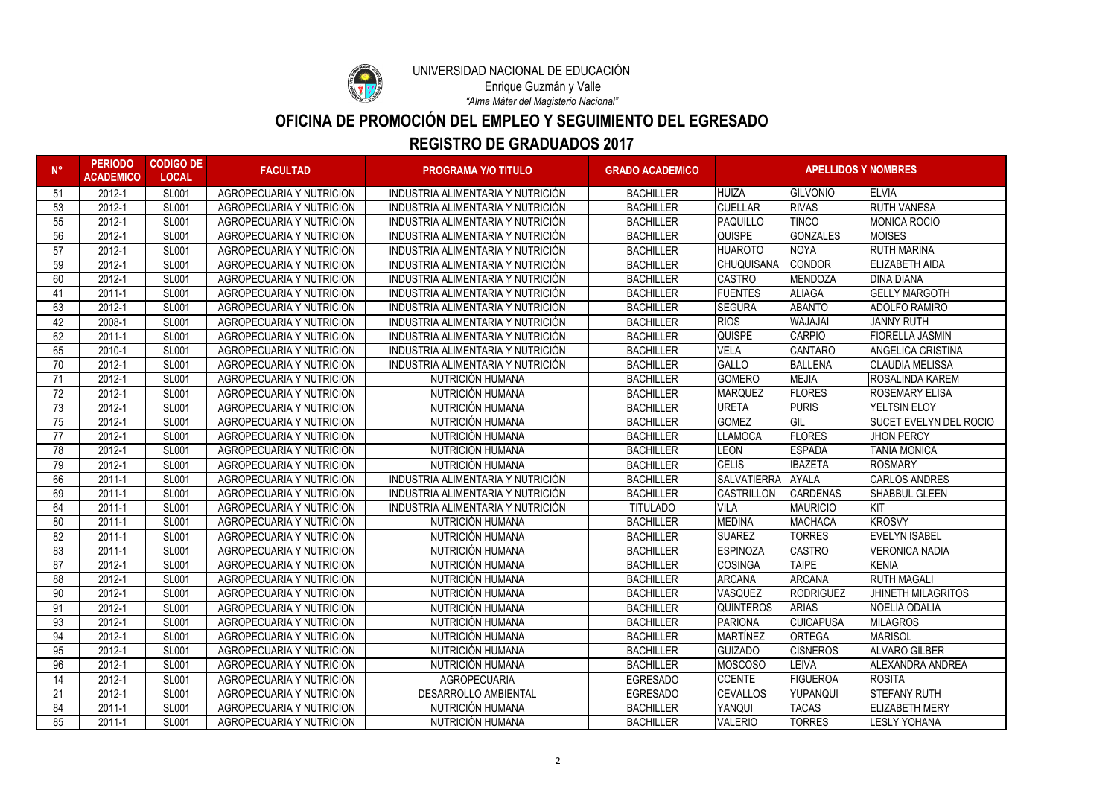

# UNIVERSIDAD NACIONAL DE EDUCACIÓN

### **REGISTRO DE GRADUADOS 2017**

# **OFICINA DE PROMOCIÓN DEL EMPLEO Y SEGUIMIENTO DEL EGRESADO**

*"Alma Máter del Magisterio Nacional"* Enrique Guzmán y Valle

| $N^{\circ}$ | <b>PERIODO</b><br><b>ACADEMICO</b> | <b>CODIGO DE</b><br><b>LOCAL</b> | <b>FACULTAD</b>                 | <b>PROGRAMA Y/O TITULO</b>        | <b>GRADO ACADEMICO</b> | <b>APELLIDOS Y NOMBRES</b> |                  |                           |
|-------------|------------------------------------|----------------------------------|---------------------------------|-----------------------------------|------------------------|----------------------------|------------------|---------------------------|
| 51          | 2012-1                             | <b>SL001</b>                     | <b>AGROPECUARIA Y NUTRICION</b> | INDUSTRIA ALIMENTARIA Y NUTRICIÓN | <b>BACHILLER</b>       | <b>HUIZA</b>               | <b>GILVONIO</b>  | <b>ELVIA</b>              |
| 53          | 2012-1                             | <b>SL001</b>                     | <b>AGROPECUARIA Y NUTRICION</b> | INDUSTRIA ALIMENTARIA Y NUTRICIÓN | <b>BACHILLER</b>       | <b>CUELLAR</b>             | <b>RIVAS</b>     | <b>RUTH VANESA</b>        |
| 55          | 2012-1                             | <b>SL001</b>                     | <b>AGROPECUARIA Y NUTRICION</b> | INDUSTRIA ALIMENTARIA Y NUTRICIÓN | <b>BACHILLER</b>       | <b>PAQUILLO</b>            | <b>TINCO</b>     | <b>MONICA ROCIO</b>       |
| 56          | 2012-1                             | <b>SL001</b>                     | <b>AGROPECUARIA Y NUTRICION</b> | INDUSTRIA ALIMENTARIA Y NUTRICIÓN | <b>BACHILLER</b>       | <b>QUISPE</b>              | <b>GONZALES</b>  | <b>MOISES</b>             |
| 57          | 2012-1                             | <b>SL001</b>                     | <b>AGROPECUARIA Y NUTRICION</b> | INDUSTRIA ALIMENTARIA Y NUTRICIÓN | <b>BACHILLER</b>       | <b>HUAROTO</b>             | <b>NOYA</b>      | <b>RUTH MARINA</b>        |
| 59          | 2012-1                             | <b>SL001</b>                     | <b>AGROPECUARIA Y NUTRICION</b> | INDUSTRIA ALIMENTARIA Y NUTRICIÓN | <b>BACHILLER</b>       | <b>CHUQUISANA</b>          | <b>CONDOR</b>    | ELIZABETH AIDA            |
| 60          | 2012-1                             | <b>SL001</b>                     | <b>AGROPECUARIA Y NUTRICION</b> | INDUSTRIA ALIMENTARIA Y NUTRICIÓN | <b>BACHILLER</b>       | <b>CASTRO</b>              | <b>MENDOZA</b>   | <b>DINA DIANA</b>         |
| 41          | 2011-1                             | <b>SL001</b>                     | <b>AGROPECUARIA Y NUTRICION</b> | INDUSTRIA ALIMENTARIA Y NUTRICIÓN | <b>BACHILLER</b>       | <b>FUENTES</b>             | <b>ALIAGA</b>    | <b>GELLY MARGOTH</b>      |
| 63          | 2012-1                             | <b>SL001</b>                     | <b>AGROPECUARIA Y NUTRICION</b> | INDUSTRIA ALIMENTARIA Y NUTRICIÓN | <b>BACHILLER</b>       | <b>SEGURA</b>              | <b>ABANTO</b>    | <b>ADOLFO RAMIRO</b>      |
| 42          | 2008-1                             | <b>SL001</b>                     | <b>AGROPECUARIA Y NUTRICION</b> | INDUSTRIA ALIMENTARIA Y NUTRICIÓN | <b>BACHILLER</b>       | <b>RIOS</b>                | WAJAJAI          | <b>JANNY RUTH</b>         |
| 62          | 2011-1                             | <b>SL001</b>                     | <b>AGROPECUARIA Y NUTRICION</b> | INDUSTRIA ALIMENTARIA Y NUTRICIÓN | <b>BACHILLER</b>       | <b>QUISPE</b>              | <b>CARPIO</b>    | <b>FIORELLA JASMIN</b>    |
| 65          | 2010-1                             | <b>SL001</b>                     | <b>AGROPECUARIA Y NUTRICION</b> | INDUSTRIA ALIMENTARIA Y NUTRICIÓN | <b>BACHILLER</b>       | <b>VELA</b>                | <b>CANTARO</b>   | ANGELICA CRISTINA         |
| 70          | 2012-1                             | <b>SL001</b>                     | <b>AGROPECUARIA Y NUTRICION</b> | INDUSTRIA ALIMENTARIA Y NUTRICIÓN | <b>BACHILLER</b>       | <b>GALLO</b>               | <b>BALLENA</b>   | <b>CLAUDIA MELISSA</b>    |
| 71          | 2012-1                             | <b>SL001</b>                     | <b>AGROPECUARIA Y NUTRICION</b> | NUTRICIÓN HUMANA                  | <b>BACHILLER</b>       | <b>GOMERO</b>              | <b>MEJIA</b>     | <b>ROSALINDA KAREM</b>    |
| 72          | 2012-1                             | <b>SL001</b>                     | <b>AGROPECUARIA Y NUTRICION</b> | NUTRICIÓN HUMANA                  | <b>BACHILLER</b>       | <b>MARQUEZ</b>             | <b>FLORES</b>    | <b>ROSEMARY ELISA</b>     |
| 73          | 2012-1                             | <b>SL001</b>                     | <b>AGROPECUARIA Y NUTRICION</b> | NUTRICIÓN HUMANA                  | <b>BACHILLER</b>       | <b>URETA</b>               | <b>PURIS</b>     | YELTSIN ELOY              |
| 75          | 2012-1                             | <b>SL001</b>                     | <b>AGROPECUARIA Y NUTRICION</b> | NUTRICIÓN HUMANA                  | <b>BACHILLER</b>       | <b>GOMEZ</b>               | GIL              | SUCET EVELYN DEL ROCIO    |
| 77          | 2012-1                             | <b>SL001</b>                     | <b>AGROPECUARIA Y NUTRICION</b> | NUTRICIÓN HUMANA                  | <b>BACHILLER</b>       | <b>LLAMOCA</b>             | <b>FLORES</b>    | <b>JHON PERCY</b>         |
| 78          | 2012-1                             | <b>SL001</b>                     | <b>AGROPECUARIA Y NUTRICION</b> | NUTRICIÓN HUMANA                  | <b>BACHILLER</b>       | <b>LEON</b>                | <b>ESPADA</b>    | <b>TANIA MONICA</b>       |
| 79          | 2012-1                             | <b>SL001</b>                     | <b>AGROPECUARIA Y NUTRICION</b> | NUTRICIÓN HUMANA                  | <b>BACHILLER</b>       | <b>CELIS</b>               | <b>IBAZETA</b>   | <b>ROSMARY</b>            |
| 66          | 2011-1                             | <b>SL001</b>                     | <b>AGROPECUARIA Y NUTRICION</b> | INDUSTRIA ALIMENTARIA Y NUTRICIÓN | <b>BACHILLER</b>       | <b>SALVATIERRA</b>         | <b>AYALA</b>     | <b>CARLOS ANDRES</b>      |
| 69          | 2011-1                             | <b>SL001</b>                     | AGROPECUARIA Y NUTRICION        | INDUSTRIA ALIMENTARIA Y NUTRICIÓN | <b>BACHILLER</b>       | <b>CASTRILLON</b>          | <b>CARDENAS</b>  | <b>SHABBUL GLEEN</b>      |
| 64          | 2011-1                             | <b>SL001</b>                     | <b>AGROPECUARIA Y NUTRICION</b> | INDUSTRIA ALIMENTARIA Y NUTRICIÓN | <b>TITULADO</b>        | <b>VILA</b>                | <b>MAURICIO</b>  | KIT                       |
| 80          | 2011-1                             | <b>SL001</b>                     | <b>AGROPECUARIA Y NUTRICION</b> | NUTRICIÓN HUMANA                  | <b>BACHILLER</b>       | <b>MEDINA</b>              | <b>MACHACA</b>   | <b>KROSVY</b>             |
| 82          | 2011-1                             | <b>SL001</b>                     | <b>AGROPECUARIA Y NUTRICION</b> | NUTRICIÓN HUMANA                  | <b>BACHILLER</b>       | <b>SUAREZ</b>              | <b>TORRES</b>    | <b>EVELYN ISABEL</b>      |
| 83          | 2011-1                             | <b>SL001</b>                     | <b>AGROPECUARIA Y NUTRICION</b> | NUTRICIÓN HUMANA                  | <b>BACHILLER</b>       | <b>ESPINOZA</b>            | <b>CASTRO</b>    | <b>VERONICA NADIA</b>     |
| 87          | 2012-1                             | <b>SL001</b>                     | <b>AGROPECUARIA Y NUTRICION</b> | NUTRICIÓN HUMANA                  | <b>BACHILLER</b>       | <b>COSINGA</b>             | <b>TAIPE</b>     | <b>KENIA</b>              |
| 88          | 2012-1                             | <b>SL001</b>                     | AGROPECUARIA Y NUTRICION        | NUTRICIÓN HUMANA                  | <b>BACHILLER</b>       | <b>ARCANA</b>              | <b>ARCANA</b>    | <b>RUTH MAGALI</b>        |
| 90          | 2012-1                             | <b>SL001</b>                     | <b>AGROPECUARIA Y NUTRICION</b> | NUTRICIÓN HUMANA                  | <b>BACHILLER</b>       | <b>VASQUEZ</b>             | <b>RODRIGUEZ</b> | <b>JHINETH MILAGRITOS</b> |
| 91          | 2012-1                             | <b>SL001</b>                     | AGROPECUARIA Y NUTRICION        | NUTRICIÓN HUMANA                  | <b>BACHILLER</b>       | <b>QUINTEROS</b>           | <b>ARIAS</b>     | NOELIA ODALIA             |
| 93          | 2012-1                             | <b>SL001</b>                     | <b>AGROPECUARIA Y NUTRICION</b> | NUTRICIÓN HUMANA                  | <b>BACHILLER</b>       | PARIONA                    | <b>CUICAPUSA</b> | <b>MILAGROS</b>           |
| 94          | 2012-1                             | <b>SL001</b>                     | <b>AGROPECUARIA Y NUTRICION</b> | NUTRICIÓN HUMANA                  | <b>BACHILLER</b>       | <b>MARTÍNEZ</b>            | <b>ORTEGA</b>    | <b>MARISOL</b>            |
| 95          | 2012-1                             | <b>SL001</b>                     | <b>AGROPECUARIA Y NUTRICION</b> | NUTRICIÓN HUMANA                  | <b>BACHILLER</b>       | <b>GUIZADO</b>             | <b>CISNEROS</b>  | <b>ALVARO GILBER</b>      |
| 96          | 2012-1                             | <b>SL001</b>                     | AGROPECUARIA Y NUTRICION        | NUTRICIÓN HUMANA                  | <b>BACHILLER</b>       | <b>MOSCOSO</b>             | <b>LEIVA</b>     | ALEXANDRA ANDREA          |
| 14          | 2012-1                             | <b>SL001</b>                     | <b>AGROPECUARIA Y NUTRICION</b> | <b>AGROPECUARIA</b>               | <b>EGRESADO</b>        | <b>CCENTE</b>              | <b>FIGUEROA</b>  | <b>ROSITA</b>             |
| 21          | 2012-1                             | <b>SL001</b>                     | <b>AGROPECUARIA Y NUTRICION</b> | <b>DESARROLLO AMBIENTAL</b>       | <b>EGRESADO</b>        | <b>CEVALLOS</b>            | YUPANQUI         | <b>STEFANY RUTH</b>       |
| 84          | 2011-1                             | <b>SL001</b>                     | AGROPECUARIA Y NUTRICION        | NUTRICIÓN HUMANA                  | <b>BACHILLER</b>       | YANQUI                     | <b>TACAS</b>     | <b>ELIZABETH MERY</b>     |
| 85          | 2011-1                             | <b>SL001</b>                     | AGROPECUARIA Y NUTRICION        | NUTRICIÓN HUMANA                  | <b>BACHILLER</b>       | <b>VALERIO</b>             | <b>TORRES</b>    | <b>LESLY YOHANA</b>       |